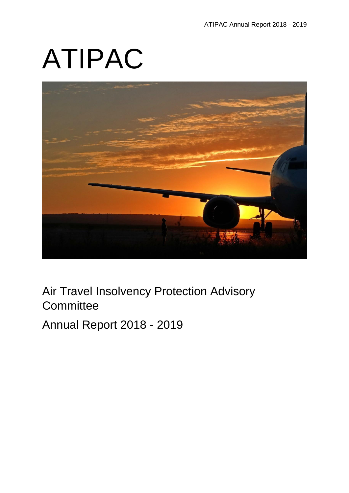# ATIPAC



Air Travel Insolvency Protection Advisory **Committee** 

Annual Report 2018 - 2019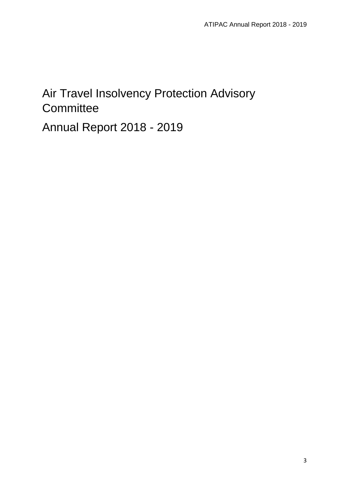# Air Travel Insolvency Protection Advisory **Committee**

Annual Report 2018 - 2019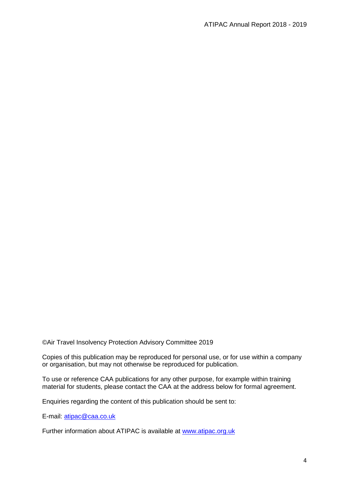©Air Travel Insolvency Protection Advisory Committee 2019

Copies of this publication may be reproduced for personal use, or for use within a company or organisation, but may not otherwise be reproduced for publication.

To use or reference CAA publications for any other purpose, for example within training material for students, please contact the CAA at the address below for formal agreement.

Enquiries regarding the content of this publication should be sent to:

E-mail: [atipac@caa.co.uk](mailto:atipac@caa.co.uk)

Further information about ATIPAC is available at [www.atipac.org.uk](http://www.atipac.org.uk/)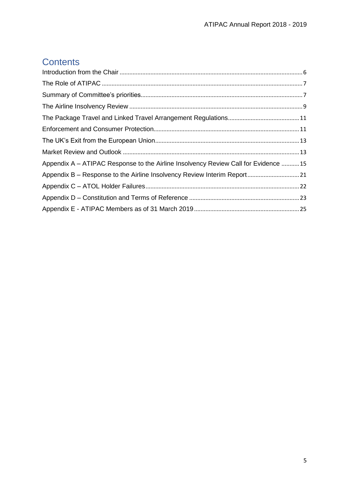# **Contents**

| Appendix A – ATIPAC Response to the Airline Insolvency Review Call for Evidence 15 |  |
|------------------------------------------------------------------------------------|--|
|                                                                                    |  |
|                                                                                    |  |
|                                                                                    |  |
|                                                                                    |  |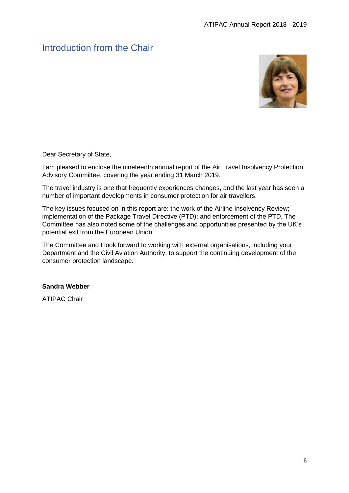# <span id="page-5-0"></span>Introduction from the Chair



Dear Secretary of State,

I am pleased to enclose the nineteenth annual report of the Air Travel Insolvency Protection Advisory Committee, covering the year ending 31 March 2019.

The travel industry is one that frequently experiences changes, and the last year has seen a number of important developments in consumer protection for air travellers.

The key issues focused on in this report are: the work of the Airline Insolvency Review; implementation of the Package Travel Directive (PTD); and enforcement of the PTD. The Committee has also noted some of the challenges and opportunities presented by the UK's potential exit from the European Union.

The Committee and I look forward to working with external organisations, including your Department and the Civil Aviation Authority, to support the continuing development of the consumer protection landscape.

#### **Sandra Webber**

ATIPAC Chair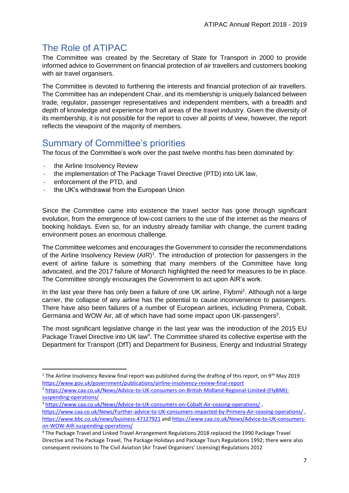# <span id="page-6-0"></span>The Role of ATIPAC

The Committee was created by the Secretary of State for Transport in 2000 to provide informed advice to Government on financial protection of air travellers and customers booking with air travel organisers.

The Committee is devoted to furthering the interests and financial protection of air travellers. The Committee has an independent Chair, and its membership is uniquely balanced between trade, regulator, passenger representatives and independent members, with a breadth and depth of knowledge and experience from all areas of the travel industry. Given the diversity of its membership, it is not possible for the report to cover all points of view, however, the report reflects the viewpoint of the majority of members.

# <span id="page-6-1"></span>Summary of Committee's priorities

The focus of the Committee's work over the past twelve months has been dominated by:

- the Airline Insolvency Review
- the implementation of The Package Travel Directive (PTD) into UK law,
- enforcement of the PTD, and

1

the UK's withdrawal from the European Union

Since the Committee came into existence the travel sector has gone through significant evolution, from the emergence of low-cost carriers to the use of the internet as the means of booking holidays. Even so, for an industry already familiar with change, the current trading environment poses an enormous challenge.

The Committee welcomes and encourages the Government to consider the recommendations of the Airline Insolvency Review (AIR)<sup>1</sup>. The introduction of protection for passengers in the event of airline failure is something that many members of the Committee have long advocated, and the 2017 failure of Monarch highlighted the need for measures to be in place. The Committee strongly encourages the Government to act upon AIR's work.

In the last year there has only been a failure of one UK airline, Flybmi<sup>2</sup>. Although not a large carrier, the collapse of any airline has the potential to cause inconvenience to passengers. There have also been failures of a number of European airlines, including Primera, Cobalt, Germania and WOW Air, all of which have had some impact upon UK-passengers<sup>3</sup>.

The most significant legislative change in the last year was the introduction of the 2015 EU Package Travel Directive into UK law<sup>4</sup>. The Committee shared its collective expertise with the Department for Transport (DfT) and Department for Business, Energy and Industrial Strategy

<sup>&</sup>lt;sup>1</sup> The Airline Insolvency Review final report was published during the drafting of this report, on 9<sup>th</sup> May 2019 <https://www.gov.uk/government/publications/airline-insolvency-review-final-report>

<sup>2</sup> [https://www.caa.co.uk/News/Advice-to-UK-consumers-on-British-Midland-Regional-Limited-\(FlyBMI\)](https://www.caa.co.uk/News/Advice-to-UK-consumers-on-British-Midland-Regional-Limited-(FlyBMI)-suspending-operations/) [suspending-operations/](https://www.caa.co.uk/News/Advice-to-UK-consumers-on-British-Midland-Regional-Limited-(FlyBMI)-suspending-operations/)

<sup>&</sup>lt;sup>3</sup> <https://www.caa.co.uk/News/Advice-to-UK-consumers-on-Cobalt-Air-ceasing-operations/>, <https://www.caa.co.uk/News/Further-advice-to-UK-consumers-impacted-by-Primera-Air-ceasing-operations/> , <https://www.bbc.co.uk/news/business-47127921> and [https://www.caa.co.uk/News/Advice-to-UK-consumers](https://www.caa.co.uk/News/Advice-to-UK-consumers-on-WOW-AIR-suspending-operations/)[on-WOW-AIR-suspending-operations/](https://www.caa.co.uk/News/Advice-to-UK-consumers-on-WOW-AIR-suspending-operations/)

<sup>4</sup> The Package Travel and Linked Travel Arrangement Regulations 2018 replaced the 1990 Package Travel Directive and The Package Travel, The Package Holidays and Package Tours Regulations 1992; there were also consequent revisions to The Civil Aviation (Air Travel Organisers' Licensing) Regulations 2012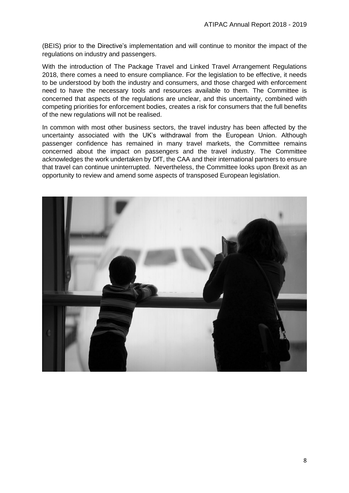(BEIS) prior to the Directive's implementation and will continue to monitor the impact of the regulations on industry and passengers.

With the introduction of The Package Travel and Linked Travel Arrangement Regulations 2018, there comes a need to ensure compliance. For the legislation to be effective, it needs to be understood by both the industry and consumers, and those charged with enforcement need to have the necessary tools and resources available to them. The Committee is concerned that aspects of the regulations are unclear, and this uncertainty, combined with competing priorities for enforcement bodies, creates a risk for consumers that the full benefits of the new regulations will not be realised.

In common with most other business sectors, the travel industry has been affected by the uncertainty associated with the UK's withdrawal from the European Union. Although passenger confidence has remained in many travel markets, the Committee remains concerned about the impact on passengers and the travel industry. The Committee acknowledges the work undertaken by DfT, the CAA and their international partners to ensure that travel can continue uninterrupted. Nevertheless, the Committee looks upon Brexit as an opportunity to review and amend some aspects of transposed European legislation.

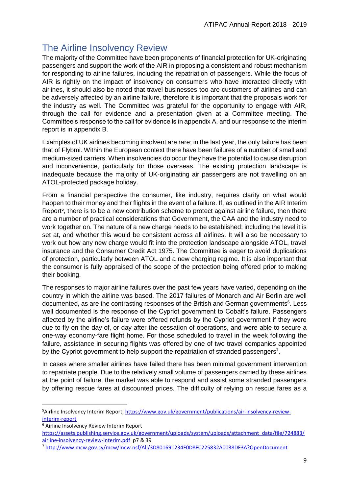# <span id="page-8-0"></span>The Airline Insolvency Review

The majority of the Committee have been proponents of financial protection for UK-originating passengers and support the work of the AIR in proposing a consistent and robust mechanism for responding to airline failures, including the repatriation of passengers. While the focus of AIR is rightly on the impact of insolvency on consumers who have interacted directly with airlines, it should also be noted that travel businesses too are customers of airlines and can be adversely affected by an airline failure, therefore it is important that the proposals work for the industry as well. The Committee was grateful for the opportunity to engage with AIR, through the call for evidence and a presentation given at a Committee meeting. The Committee's response to the call for evidence is in appendix A, and our response to the interim report is in appendix B.

Examples of UK airlines becoming insolvent are rare; in the last year, the only failure has been that of Flybmi. Within the European context there have been failures of a number of small and medium-sized carriers. When insolvencies do occur they have the potential to cause disruption and inconvenience, particularly for those overseas. The existing protection landscape is inadequate because the majority of UK-originating air passengers are not travelling on an ATOL-protected package holiday.

From a financial perspective the consumer, like industry, requires clarity on what would happen to their money and their flights in the event of a failure. If, as outlined in the AIR Interim Report<sup>5</sup>, there is to be a new contribution scheme to protect against airline failure, then there are a number of practical considerations that Government, the CAA and the industry need to work together on. The nature of a new charge needs to be established; including the level it is set at, and whether this would be consistent across all airlines. It will also be necessary to work out how any new charge would fit into the protection landscape alongside ATOL, travel insurance and the Consumer Credit Act 1975. The Committee is eager to avoid duplications of protection, particularly between ATOL and a new charging regime. It is also important that the consumer is fully appraised of the scope of the protection being offered prior to making their booking.

The responses to major airline failures over the past few years have varied, depending on the country in which the airline was based. The 2017 failures of Monarch and Air Berlin are well documented, as are the contrasting responses of the British and German governments<sup>6</sup>. Less well documented is the response of the Cypriot government to Cobalt's failure. Passengers affected by the airline's failure were offered refunds by the Cypriot government if they were due to fly on the day of, or day after the cessation of operations, and were able to secure a one-way economy-fare flight home. For those scheduled to travel in the week following the failure, assistance in securing flights was offered by one of two travel companies appointed by the Cypriot government to help support the repatriation of stranded passengers<sup>7</sup>.

In cases where smaller airlines have failed there has been minimal government intervention to repatriate people. Due to the relatively small volume of passengers carried by these airlines at the point of failure, the market was able to respond and assist some stranded passengers by offering rescue fares at discounted prices. The difficulty of relying on rescue fares as a

**.** 

<sup>5</sup>Airline Insolvency Interim Report[, https://www.gov.uk/government/publications/air-insolvency-review](https://www.gov.uk/government/publications/air-insolvency-review-interim-report)[interim-report](https://www.gov.uk/government/publications/air-insolvency-review-interim-report)

<sup>6</sup> Airline Insolvency Review Interim Report

[https://assets.publishing.service.gov.uk/government/uploads/system/uploads/attachment\\_data/file/724883/](https://assets.publishing.service.gov.uk/government/uploads/system/uploads/attachment_data/file/724883/airline-insolvency-review-interim.pdf) [airline-insolvency-review-interim.pdf](https://assets.publishing.service.gov.uk/government/uploads/system/uploads/attachment_data/file/724883/airline-insolvency-review-interim.pdf) p7 & 39

<sup>7</sup> <http://www.mcw.gov.cy/mcw/mcw.nsf/All/3D801691234F0D8FC225832A0038DF3A?OpenDocument>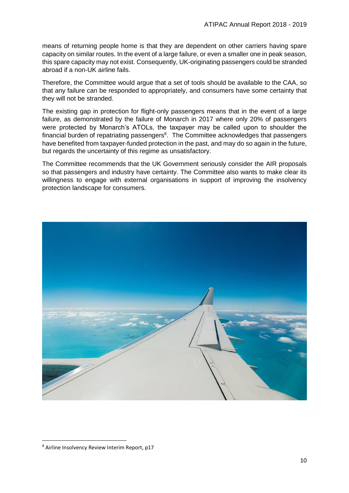means of returning people home is that they are dependent on other carriers having spare capacity on similar routes. In the event of a large failure, or even a smaller one in peak season, this spare capacity may not exist. Consequently, UK-originating passengers could be stranded abroad if a non-UK airline fails.

Therefore, the Committee would argue that a set of tools should be available to the CAA, so that any failure can be responded to appropriately, and consumers have some certainty that they will not be stranded.

The existing gap in protection for flight-only passengers means that in the event of a large failure, as demonstrated by the failure of Monarch in 2017 where only 20% of passengers were protected by Monarch's ATOLs, the taxpayer may be called upon to shoulder the financial burden of repatriating passengers<sup>8</sup>. The Committee acknowledges that passengers have benefited from taxpayer-funded protection in the past, and may do so again in the future, but regards the uncertainty of this regime as unsatisfactory.

The Committee recommends that the UK Government seriously consider the AIR proposals so that passengers and industry have certainty. The Committee also wants to make clear its willingness to engage with external organisations in support of improving the insolvency protection landscape for consumers.



**.** 

<sup>8</sup> Airline Insolvency Review Interim Report, p17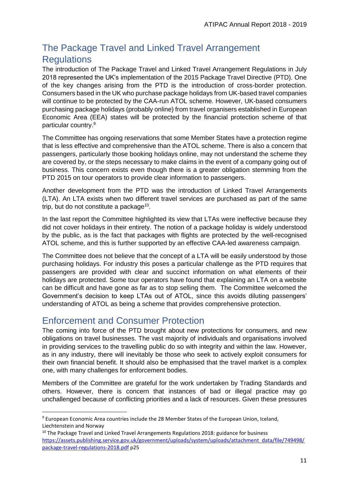# <span id="page-10-0"></span>The Package Travel and Linked Travel Arrangement **Regulations**

The introduction of The Package Travel and Linked Travel Arrangement Regulations in July 2018 represented the UK's implementation of the 2015 Package Travel Directive (PTD). One of the key changes arising from the PTD is the introduction of cross-border protection. Consumers based in the UK who purchase package holidays from UK-based travel companies will continue to be protected by the CAA-run ATOL scheme. However, UK-based consumers purchasing package holidays (probably online) from travel organisers established in European Economic Area (EEA) states will be protected by the financial protection scheme of that particular country.<sup>9</sup>

The Committee has ongoing reservations that some Member States have a protection regime that is less effective and comprehensive than the ATOL scheme. There is also a concern that passengers, particularly those booking holidays online, may not understand the scheme they are covered by, or the steps necessary to make claims in the event of a company going out of business. This concern exists even though there is a greater obligation stemming from the PTD 2015 on tour operators to provide clear information to passengers.

Another development from the PTD was the introduction of Linked Travel Arrangements (LTA). An LTA exists when two different travel services are purchased as part of the same trip, but do not constitute a package<sup>10</sup>.

In the last report the Committee highlighted its view that LTAs were ineffective because they did not cover holidays in their entirety. The notion of a package holiday is widely understood by the public, as is the fact that packages with flights are protected by the well-recognised ATOL scheme, and this is further supported by an effective CAA-led awareness campaign.

The Committee does not believe that the concept of a LTA will be easily understood by those purchasing holidays. For industry this poses a particular challenge as the PTD requires that passengers are provided with clear and succinct information on what elements of their holidays are protected. Some tour operators have found that explaining an LTA on a website can be difficult and have gone as far as to stop selling them. The Committee welcomed the Government's decision to keep LTAs out of ATOL, since this avoids diluting passengers' understanding of ATOL as being a scheme that provides comprehensive protection.

# <span id="page-10-1"></span>Enforcement and Consumer Protection

**.** 

The coming into force of the PTD brought about new protections for consumers, and new obligations on travel businesses. The vast majority of individuals and organisations involved in providing services to the travelling public do so with integrity and within the law. However, as in any industry, there will inevitably be those who seek to actively exploit consumers for their own financial benefit. It should also be emphasised that the travel market is a complex one, with many challenges for enforcement bodies.

Members of the Committee are grateful for the work undertaken by Trading Standards and others. However, there is concern that instances of bad or illegal practice may go unchallenged because of conflicting priorities and a lack of resources. Given these pressures

<sup>9</sup> European Economic Area countries include the 28 Member States of the European Union, Iceland, Liechtenstein and Norway

<sup>&</sup>lt;sup>10</sup> The Package Travel and Linked Travel Arrangements Regulations 2018: guidance for business [https://assets.publishing.service.gov.uk/government/uploads/system/uploads/attachment\\_data/file/749498/](https://assets.publishing.service.gov.uk/government/uploads/system/uploads/attachment_data/file/749498/package-travel-regulations-2018.pdf) [package-travel-regulations-2018.pdf](https://assets.publishing.service.gov.uk/government/uploads/system/uploads/attachment_data/file/749498/package-travel-regulations-2018.pdf) p25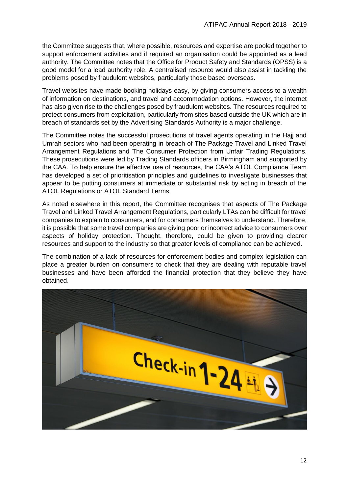the Committee suggests that, where possible, resources and expertise are pooled together to support enforcement activities and if required an organisation could be appointed as a lead authority. The Committee notes that the Office for Product Safety and Standards (OPSS) is a good model for a lead authority role. A centralised resource would also assist in tackling the problems posed by fraudulent websites, particularly those based overseas.

Travel websites have made booking holidays easy, by giving consumers access to a wealth of information on destinations, and travel and accommodation options. However, the internet has also given rise to the challenges posed by fraudulent websites. The resources required to protect consumers from exploitation, particularly from sites based outside the UK which are in breach of standards set by the Advertising Standards Authority is a major challenge.

The Committee notes the successful prosecutions of travel agents operating in the Hajj and Umrah sectors who had been operating in breach of The Package Travel and Linked Travel Arrangement Regulations and The Consumer Protection from Unfair Trading Regulations. These prosecutions were led by Trading Standards officers in Birmingham and supported by the CAA. To help ensure the effective use of resources, the CAA's ATOL Compliance Team has developed a set of prioritisation principles and guidelines to investigate businesses that appear to be putting consumers at immediate or substantial risk by acting in breach of the ATOL Regulations or ATOL Standard Terms.

As noted elsewhere in this report, the Committee recognises that aspects of The Package Travel and Linked Travel Arrangement Regulations, particularly LTAs can be difficult for travel companies to explain to consumers, and for consumers themselves to understand. Therefore, it is possible that some travel companies are giving poor or incorrect advice to consumers over aspects of holiday protection. Thought, therefore, could be given to providing clearer resources and support to the industry so that greater levels of compliance can be achieved.

The combination of a lack of resources for enforcement bodies and complex legislation can place a greater burden on consumers to check that they are dealing with reputable travel businesses and have been afforded the financial protection that they believe they have obtained.

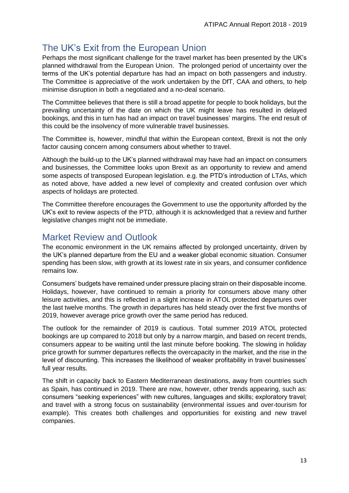# <span id="page-12-0"></span>The UK's Exit from the European Union

Perhaps the most significant challenge for the travel market has been presented by the UK's planned withdrawal from the European Union. The prolonged period of uncertainty over the terms of the UK's potential departure has had an impact on both passengers and industry. The Committee is appreciative of the work undertaken by the DfT, CAA and others, to help minimise disruption in both a negotiated and a no-deal scenario.

The Committee believes that there is still a broad appetite for people to book holidays, but the prevailing uncertainty of the date on which the UK might leave has resulted in delayed bookings, and this in turn has had an impact on travel businesses' margins. The end result of this could be the insolvency of more vulnerable travel businesses.

The Committee is, however, mindful that within the European context, Brexit is not the only factor causing concern among consumers about whether to travel.

Although the build-up to the UK's planned withdrawal may have had an impact on consumers and businesses, the Committee looks upon Brexit as an opportunity to review and amend some aspects of transposed European legislation. e.g. the PTD's introduction of LTAs, which as noted above, have added a new level of complexity and created confusion over which aspects of holidays are protected.

The Committee therefore encourages the Government to use the opportunity afforded by the UK's exit to review aspects of the PTD, although it is acknowledged that a review and further legislative changes might not be immediate.

# <span id="page-12-1"></span>Market Review and Outlook

The economic environment in the UK remains affected by prolonged uncertainty, driven by the UK's planned departure from the EU and a weaker global economic situation. Consumer spending has been slow, with growth at its lowest rate in six years, and consumer confidence remains low.

Consumers' budgets have remained under pressure placing strain on their disposable income. Holidays, however, have continued to remain a priority for consumers above many other leisure activities, and this is reflected in a slight increase in ATOL protected departures over the last twelve months. The growth in departures has held steady over the first five months of 2019, however average price growth over the same period has reduced.

The outlook for the remainder of 2019 is cautious. Total summer 2019 ATOL protected bookings are up compared to 2018 but only by a narrow margin, and based on recent trends, consumers appear to be waiting until the last minute before booking. The slowing in holiday price growth for summer departures reflects the overcapacity in the market, and the rise in the level of discounting. This increases the likelihood of weaker profitability in travel businesses' full year results.

The shift in capacity back to Eastern Mediterranean destinations, away from countries such as Spain, has continued in 2019. There are now, however, other trends appearing, such as: consumers "seeking experiences" with new cultures, languages and skills; exploratory travel; and travel with a strong focus on sustainability (environmental issues and over-tourism for example). This creates both challenges and opportunities for existing and new travel companies.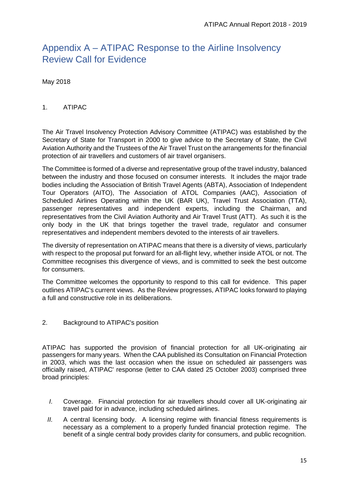# <span id="page-14-0"></span>Appendix A – ATIPAC Response to the Airline Insolvency Review Call for Evidence

May 2018

#### 1. ATIPAC

The Air Travel Insolvency Protection Advisory Committee (ATIPAC) was established by the Secretary of State for Transport in 2000 to give advice to the Secretary of State, the Civil Aviation Authority and the Trustees of the Air Travel Trust on the arrangements for the financial protection of air travellers and customers of air travel organisers.

The Committee is formed of a diverse and representative group of the travel industry, balanced between the industry and those focused on consumer interests. It includes the major trade bodies including the Association of British Travel Agents (ABTA), Association of Independent Tour Operators (AITO), The Association of ATOL Companies (AAC), Association of Scheduled Airlines Operating within the UK (BAR UK), Travel Trust Association (TTA), passenger representatives and independent experts, including the Chairman, and representatives from the Civil Aviation Authority and Air Travel Trust (ATT). As such it is the only body in the UK that brings together the travel trade, regulator and consumer representatives and independent members devoted to the interests of air travellers.

The diversity of representation on ATIPAC means that there is a diversity of views, particularly with respect to the proposal put forward for an all-flight levy, whether inside ATOL or not. The Committee recognises this divergence of views, and is committed to seek the best outcome for consumers.

The Committee welcomes the opportunity to respond to this call for evidence. This paper outlines ATIPAC's current views. As the Review progresses, ATIPAC looks forward to playing a full and constructive role in its deliberations.

2. Background to ATIPAC's position

ATIPAC has supported the provision of financial protection for all UK-originating air passengers for many years. When the CAA published its Consultation on Financial Protection in 2003, which was the last occasion when the issue on scheduled air passengers was officially raised, ATIPAC' response (letter to CAA dated 25 October 2003) comprised three broad principles:

- *I.* Coverage. Financial protection for air travellers should cover all UK-originating air travel paid for in advance, including scheduled airlines.
- *II.* A central licensing body.A licensing regime with financial fitness requirements is necessary as a complement to a properly funded financial protection regime. The benefit of a single central body provides clarity for consumers, and public recognition.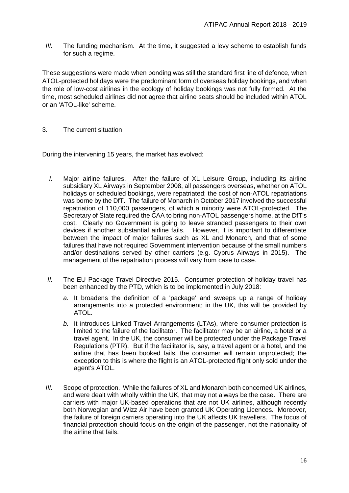*III.* The funding mechanism. At the time, it suggested a levy scheme to establish funds for such a regime.

These suggestions were made when bonding was still the standard first line of defence, when ATOL-protected holidays were the predominant form of overseas holiday bookings, and when the role of low-cost airlines in the ecology of holiday bookings was not fully formed. At the time, most scheduled airlines did not agree that airline seats should be included within ATOL or an 'ATOL-like' scheme.

3. The current situation

During the intervening 15 years, the market has evolved:

- *I.* Major airline failures.After the failure of XL Leisure Group, including its airline subsidiary XL Airways in September 2008, all passengers overseas, whether on ATOL holidays or scheduled bookings, were repatriated; the cost of non-ATOL repatriations was borne by the DfT. The failure of Monarch in October 2017 involved the successful repatriation of 110,000 passengers, of which a minority were ATOL-protected. The Secretary of State required the CAA to bring non-ATOL passengers home, at the DfT's cost. Clearly no Government is going to leave stranded passengers to their own devices if another substantial airline fails. However, it is important to differentiate between the impact of major failures such as XL and Monarch, and that of some failures that have not required Government intervention because of the small numbers and/or destinations served by other carriers (e.g. Cyprus Airways in 2015). The management of the repatriation process will vary from case to case.
- *II.* The EU Package Travel Directive 2015. Consumer protection of holiday travel has been enhanced by the PTD, which is to be implemented in July 2018:
	- *a.* It broadens the definition of a 'package' and sweeps up a range of holiday arrangements into a protected environment; in the UK, this will be provided by **ATOL**
	- *b.* It introduces Linked Travel Arrangements (LTAs), where consumer protection is limited to the failure of the facilitator. The facilitator may be an airline, a hotel or a travel agent. In the UK, the consumer will be protected under the Package Travel Regulations (PTR). But if the facilitator is, say, a travel agent or a hotel, and the airline that has been booked fails, the consumer will remain unprotected; the exception to this is where the flight is an ATOL-protected flight only sold under the agent's ATOL.
- *III.* Scope of protection. While the failures of XL and Monarch both concerned UK airlines, and were dealt with wholly within the UK, that may not always be the case. There are carriers with major UK-based operations that are not UK airlines, although recently both Norwegian and Wizz Air have been granted UK Operating Licences. Moreover, the failure of foreign carriers operating into the UK affects UK travellers. The focus of financial protection should focus on the origin of the passenger, not the nationality of the airline that fails.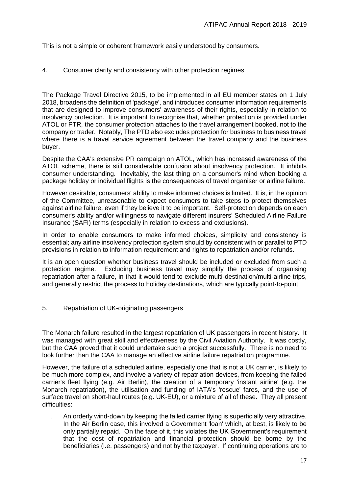This is not a simple or coherent framework easily understood by consumers.

#### 4. Consumer clarity and consistency with other protection regimes

The Package Travel Directive 2015, to be implemented in all EU member states on 1 July 2018, broadens the definition of 'package', and introduces consumer information requirements that are designed to improve consumers' awareness of their rights, especially in relation to insolvency protection. It is important to recognise that, whether protection is provided under ATOL or PTR, the consumer protection attaches to the travel arrangement booked, not to the company or trader. Notably, The PTD also excludes protection for business to business travel where there is a travel service agreement between the travel company and the business buyer.

Despite the CAA's extensive PR campaign on ATOL, which has increased awareness of the ATOL scheme, there is still considerable confusion about insolvency protection. It inhibits consumer understanding. Inevitably, the last thing on a consumer's mind when booking a package holiday or individual flights is the consequences of travel organiser or airline failure.

However desirable, consumers' ability to make informed choices is limited. It is, in the opinion of the Committee, unreasonable to expect consumers to take steps to protect themselves against airline failure, even if they believe it to be important. Self-protection depends on each consumer's ability and/or willingness to navigate different insurers' Scheduled Airline Failure Insurance (SAFI) terms (especially in relation to excess and exclusions).

In order to enable consumers to make informed choices, simplicity and consistency is essential; any airline insolvency protection system should by consistent with or parallel to PTD provisions in relation to information requirement and rights to repatriation and/or refunds.

It is an open question whether business travel should be included or excluded from such a protection regime. Excluding business travel may simplify the process of organising repatriation after a failure, in that it would tend to exclude multi-destination/multi-airline trips, and generally restrict the process to holiday destinations, which are typically point-to-point.

5. Repatriation of UK-originating passengers

The Monarch failure resulted in the largest repatriation of UK passengers in recent history. It was managed with great skill and effectiveness by the Civil Aviation Authority. It was costly, but the CAA proved that it could undertake such a project successfully. There is no need to look further than the CAA to manage an effective airline failure repatriation programme.

However, the failure of a scheduled airline, especially one that is not a UK carrier, is likely to be much more complex, and involve a variety of repatriation devices, from keeping the failed carrier's fleet flying (e.g. Air Berlin), the creation of a temporary 'instant airline' (e.g. the Monarch repatriation), the utilisation and funding of IATA's 'rescue' fares, and the use of surface travel on short-haul routes (e.g. UK-EU), or a mixture of all of these. They all present difficulties:

I. An orderly wind-down by keeping the failed carrier flying is superficially very attractive. In the Air Berlin case, this involved a Government 'loan' which, at best, is likely to be only partially repaid. On the face of it, this violates the UK Government's requirement that the cost of repatriation and financial protection should be borne by the beneficiaries (i.e. passengers) and not by the taxpayer. If continuing operations are to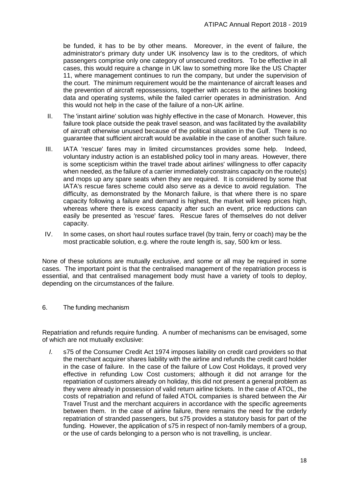be funded, it has to be by other means. Moreover, in the event of failure, the administrator's primary duty under UK insolvency law is to the creditors, of which passengers comprise only one category of unsecured creditors. To be effective in all cases, this would require a change in UK law to something more like the US Chapter 11, where management continues to run the company, but under the supervision of the court. The minimum requirement would be the maintenance of aircraft leases and the prevention of aircraft repossessions, together with access to the airlines booking data and operating systems, while the failed carrier operates in administration. And this would not help in the case of the failure of a non-UK airline.

- II. The 'instant airline' solution was highly effective in the case of Monarch. However, this failure took place outside the peak travel season, and was facilitated by the availability of aircraft otherwise unused because of the political situation in the Gulf. There is no guarantee that sufficient aircraft would be available in the case of another such failure.
- III. IATA 'rescue' fares may in limited circumstances provides some help. Indeed, voluntary industry action is an established policy tool in many areas. However, there is some scepticism within the travel trade about airlines' willingness to offer capacity when needed, as the failure of a carrier immediately constrains capacity on the route(s) and mops up any spare seats when they are required. It is considered by some that IATA's rescue fares scheme could also serve as a device to avoid regulation. The difficulty, as demonstrated by the Monarch failure, is that where there is no spare capacity following a failure and demand is highest, the market will keep prices high, whereas where there is excess capacity after such an event, price reductions can easily be presented as 'rescue' fares. Rescue fares of themselves do not deliver capacity.
- IV. In some cases, on short haul routes surface travel (by train, ferry or coach) may be the most practicable solution, e.g. where the route length is, say, 500 km or less.

None of these solutions are mutually exclusive, and some or all may be required in some cases. The important point is that the centralised management of the repatriation process is essential, and that centralised management body must have a variety of tools to deploy, depending on the circumstances of the failure.

6. The funding mechanism

Repatriation and refunds require funding. A number of mechanisms can be envisaged, some of which are not mutually exclusive:

*I.* s75 of the Consumer Credit Act 1974 imposes liability on credit card providers so that the merchant acquirer shares liability with the airline and refunds the credit card holder in the case of failure. In the case of the failure of Low Cost Holidays, it proved very effective in refunding Low Cost customers; although it did not arrange for the repatriation of customers already on holiday, this did not present a general problem as they were already in possession of valid return airline tickets. In the case of ATOL, the costs of repatriation and refund of failed ATOL companies is shared between the Air Travel Trust and the merchant acquirers in accordance with the specific agreements between them. In the case of airline failure, there remains the need for the orderly repatriation of stranded passengers, but s75 provides a statutory basis for part of the funding. However, the application of s75 in respect of non-family members of a group, or the use of cards belonging to a person who is not travelling, is unclear.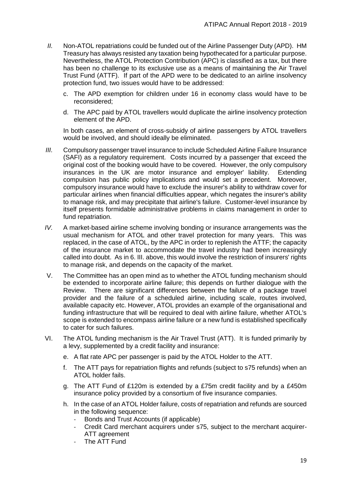- *II.* Non-ATOL repatriations could be funded out of the Airline Passenger Duty (APD). HM Treasury has always resisted any taxation being hypothecated for a particular purpose. Nevertheless, the ATOL Protection Contribution (APC) is classified as a tax, but there has been no challenge to its exclusive use as a means of maintaining the Air Travel Trust Fund (ATTF). If part of the APD were to be dedicated to an airline insolvency protection fund, two issues would have to be addressed:
	- c. The APD exemption for children under 16 in economy class would have to be reconsidered;
	- d. The APC paid by ATOL travellers would duplicate the airline insolvency protection element of the APD.

In both cases, an element of cross-subsidy of airline passengers by ATOL travellers would be involved, and should ideally be eliminated.

- *III.* Compulsory passenger travel insurance to include Scheduled Airline Failure Insurance (SAFI) as a regulatory requirement. Costs incurred by a passenger that exceed the original cost of the booking would have to be covered. However, the only compulsory insurances in the UK are motor insurance and employer' liability. Extending compulsion has public policy implications and would set a precedent. Moreover, compulsory insurance would have to exclude the insurer's ability to withdraw cover for particular airlines when financial difficulties appear, which negates the insurer's ability to manage risk, and may precipitate that airline's failure. Customer-level insurance by itself presents formidable administrative problems in claims management in order to fund repatriation.
- *IV.* A market-based airline scheme involving bonding or insurance arrangements was the usual mechanism for ATOL and other travel protection for many years. This was replaced, in the case of ATOL, by the APC in order to replenish the ATTF; the capacity of the insurance market to accommodate the travel industry had been increasingly called into doubt. As in 6. III. above, this would involve the restriction of insurers' rights to manage risk, and depends on the capacity of the market.
- V. The Committee has an open mind as to whether the ATOL funding mechanism should be extended to incorporate airline failure; this depends on further dialogue with the Review. There are significant differences between the failure of a package travel provider and the failure of a scheduled airline, including scale, routes involved, available capacity etc. However, ATOL provides an example of the organisational and funding infrastructure that will be required to deal with airline failure, whether ATOL's scope is extended to encompass airline failure or a new fund is established specifically to cater for such failures.
- VI. The ATOL funding mechanism is the Air Travel Trust (ATT). It is funded primarily by a levy, supplemented by a credit facility and insurance:
	- e. A flat rate APC per passenger is paid by the ATOL Holder to the ATT.
	- f. The ATT pays for repatriation flights and refunds (subject to s75 refunds) when an ATOL holder fails.
	- g. The ATT Fund of £120m is extended by a £75m credit facility and by a £450m insurance policy provided by a consortium of five insurance companies.
	- h. In the case of an ATOL Holder failure, costs of repatriation and refunds are sourced in the following sequence:
		- Bonds and Trust Accounts (if applicable)
		- Credit Card merchant acquirers under s75, subject to the merchant acquirer-ATT agreement
		- The ATT Fund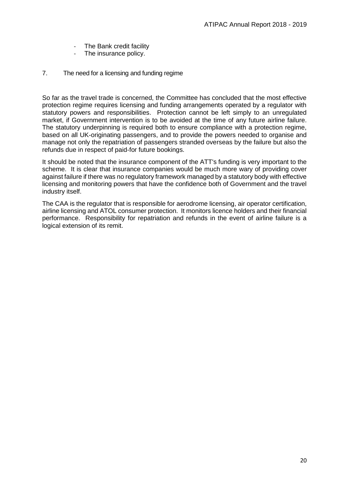- The Bank credit facility
- The insurance policy.
- 7. The need for a licensing and funding regime

So far as the travel trade is concerned, the Committee has concluded that the most effective protection regime requires licensing and funding arrangements operated by a regulator with statutory powers and responsibilities. Protection cannot be left simply to an unregulated market, if Government intervention is to be avoided at the time of any future airline failure. The statutory underpinning is required both to ensure compliance with a protection regime, based on all UK-originating passengers, and to provide the powers needed to organise and manage not only the repatriation of passengers stranded overseas by the failure but also the refunds due in respect of paid-for future bookings.

It should be noted that the insurance component of the ATT's funding is very important to the scheme. It is clear that insurance companies would be much more wary of providing cover against failure if there was no regulatory framework managed by a statutory body with effective licensing and monitoring powers that have the confidence both of Government and the travel industry itself.

The CAA is the regulator that is responsible for aerodrome licensing, air operator certification, airline licensing and ATOL consumer protection. It monitors licence holders and their financial performance. Responsibility for repatriation and refunds in the event of airline failure is a logical extension of its remit.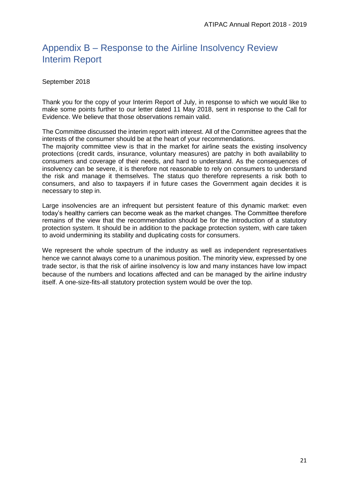# <span id="page-20-0"></span>Appendix B – Response to the Airline Insolvency Review Interim Report

September 2018

Thank you for the copy of your Interim Report of July, in response to which we would like to make some points further to our letter dated 11 May 2018, sent in response to the Call for Evidence. We believe that those observations remain valid.

The Committee discussed the interim report with interest. All of the Committee agrees that the interests of the consumer should be at the heart of your recommendations.

The majority committee view is that in the market for airline seats the existing insolvency protections (credit cards, insurance, voluntary measures) are patchy in both availability to consumers and coverage of their needs, and hard to understand. As the consequences of insolvency can be severe, it is therefore not reasonable to rely on consumers to understand the risk and manage it themselves. The status quo therefore represents a risk both to consumers, and also to taxpayers if in future cases the Government again decides it is necessary to step in.

Large insolvencies are an infrequent but persistent feature of this dynamic market: even today's healthy carriers can become weak as the market changes. The Committee therefore remains of the view that the recommendation should be for the introduction of a statutory protection system. It should be in addition to the package protection system, with care taken to avoid undermining its stability and duplicating costs for consumers.

We represent the whole spectrum of the industry as well as independent representatives hence we cannot always come to a unanimous position. The minority view, expressed by one trade sector, is that the risk of airline insolvency is low and many instances have low impact because of the numbers and locations affected and can be managed by the airline industry itself. A one-size-fits-all statutory protection system would be over the top.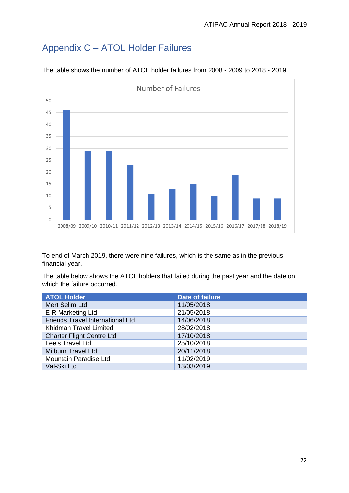# <span id="page-21-0"></span>Appendix C – ATOL Holder Failures



The table shows the number of ATOL holder failures from 2008 - 2009 to 2018 - 2019.

To end of March 2019, there were nine failures, which is the same as in the previous financial year.

The table below shows the ATOL holders that failed during the past year and the date on which the failure occurred.

| <b>ATOL Holder</b>                      | <b>Date of failure</b> |
|-----------------------------------------|------------------------|
| Mert Selim Ltd                          | 11/05/2018             |
| E R Marketing Ltd                       | 21/05/2018             |
| <b>Friends Travel International Ltd</b> | 14/06/2018             |
| Khidmah Travel Limited                  | 28/02/2018             |
| <b>Charter Flight Centre Ltd</b>        | 17/10/2018             |
| Lee's Travel Ltd                        | 25/10/2018             |
| <b>Milburn Travel Ltd</b>               | 20/11/2018             |
| Mountain Paradise Ltd                   | 11/02/2019             |
| Val-Ski Ltd                             | 13/03/2019             |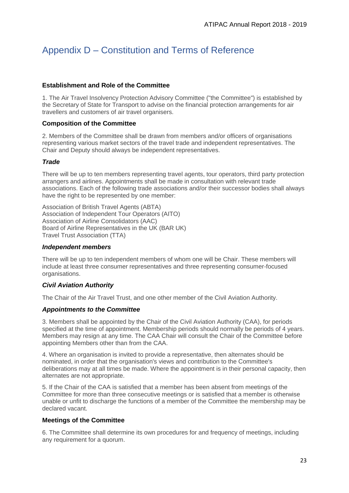# <span id="page-22-0"></span>Appendix D – Constitution and Terms of Reference

#### **Establishment and Role of the Committee**

1. The Air Travel Insolvency Protection Advisory Committee ("the Committee") is established by the Secretary of State for Transport to advise on the financial protection arrangements for air travellers and customers of air travel organisers.

#### **Composition of the Committee**

2. Members of the Committee shall be drawn from members and/or officers of organisations representing various market sectors of the travel trade and independent representatives. The Chair and Deputy should always be independent representatives.

#### *Trade*

There will be up to ten members representing travel agents, tour operators, third party protection arrangers and airlines. Appointments shall be made in consultation with relevant trade associations. Each of the following trade associations and/or their successor bodies shall always have the right to be represented by one member:

Association of British Travel Agents (ABTA) Association of Independent Tour Operators (AITO) Association of Airline Consolidators (AAC) Board of Airline Representatives in the UK (BAR UK) Travel Trust Association (TTA)

#### *Independent members*

There will be up to ten independent members of whom one will be Chair. These members will include at least three consumer representatives and three representing consumer-focused organisations.

#### *Civil Aviation Authority*

The Chair of the Air Travel Trust, and one other member of the Civil Aviation Authority.

#### *Appointments to the Committee*

3. Members shall be appointed by the Chair of the Civil Aviation Authority (CAA), for periods specified at the time of appointment. Membership periods should normally be periods of 4 years. Members may resign at any time. The CAA Chair will consult the Chair of the Committee before appointing Members other than from the CAA.

4. Where an organisation is invited to provide a representative, then alternates should be nominated, in order that the organisation's views and contribution to the Committee's deliberations may at all times be made. Where the appointment is in their personal capacity, then alternates are not appropriate.

5. If the Chair of the CAA is satisfied that a member has been absent from meetings of the Committee for more than three consecutive meetings or is satisfied that a member is otherwise unable or unfit to discharge the functions of a member of the Committee the membership may be declared vacant.

#### **Meetings of the Committee**

6. The Committee shall determine its own procedures for and frequency of meetings, including any requirement for a quorum.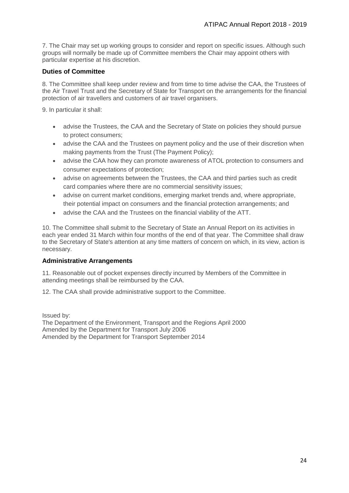7. The Chair may set up working groups to consider and report on specific issues. Although such groups will normally be made up of Committee members the Chair may appoint others with particular expertise at his discretion.

#### **Duties of Committee**

8. The Committee shall keep under review and from time to time advise the CAA, the Trustees of the Air Travel Trust and the Secretary of State for Transport on the arrangements for the financial protection of air travellers and customers of air travel organisers.

9. In particular it shall:

- advise the Trustees, the CAA and the Secretary of State on policies they should pursue to protect consumers;
- advise the CAA and the Trustees on payment policy and the use of their discretion when making payments from the Trust (The Payment Policy);
- advise the CAA how they can promote awareness of ATOL protection to consumers and consumer expectations of protection;
- advise on agreements between the Trustees, the CAA and third parties such as credit card companies where there are no commercial sensitivity issues;
- advise on current market conditions, emerging market trends and, where appropriate, their potential impact on consumers and the financial protection arrangements; and
- advise the CAA and the Trustees on the financial viability of the ATT.

10. The Committee shall submit to the Secretary of State an Annual Report on its activities in each year ended 31 March within four months of the end of that year. The Committee shall draw to the Secretary of State's attention at any time matters of concern on which, in its view, action is necessary.

#### **Administrative Arrangements**

11. Reasonable out of pocket expenses directly incurred by Members of the Committee in attending meetings shall be reimbursed by the CAA.

12. The CAA shall provide administrative support to the Committee.

Issued by: The Department of the Environment, Transport and the Regions April 2000 Amended by the Department for Transport July 2006 Amended by the Department for Transport September 2014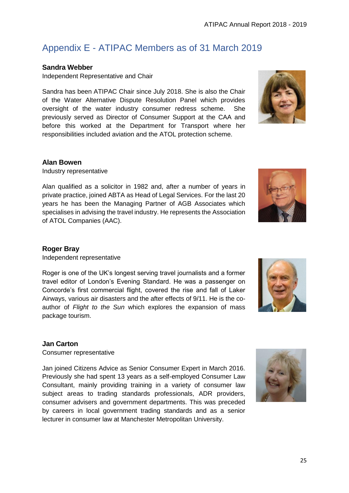25

# <span id="page-24-0"></span>Appendix E - ATIPAC Members as of 31 March 2019

# **Sandra Webber**

Independent Representative and Chair

Sandra has been ATIPAC Chair since July 2018. She is also the Chair of the Water Alternative Dispute Resolution Panel which provides oversight of the water industry consumer redress scheme. She previously served as Director of Consumer Support at the CAA and before this worked at the Department for Transport where her responsibilities included aviation and the ATOL protection scheme.

## **Alan Bowen**

Industry representative

Alan qualified as a solicitor in 1982 and, after a number of years in private practice, joined ABTA as Head of Legal Services. For the last 20 years he has been the Managing Partner of AGB Associates which specialises in advising the travel industry. He represents the Association of ATOL Companies (AAC).

## **Roger Bray**

Independent representative

Roger is one of the UK's longest serving travel journalists and a former travel editor of London's Evening Standard. He was a passenger on Concorde's first commercial flight, covered the rise and fall of Laker Airways, various air disasters and the after effects of 9/11. He is the coauthor of *Flight to the Sun* which explores the expansion of mass package tourism.

## **Jan Carton**

Consumer representative

Jan joined Citizens Advice as Senior Consumer Expert in March 2016. Previously she had spent 13 years as a self-employed Consumer Law Consultant, mainly providing training in a variety of consumer law subject areas to trading standards professionals, ADR providers, consumer advisers and government departments. This was preceded by careers in local government trading standards and as a senior lecturer in consumer law at Manchester Metropolitan University.







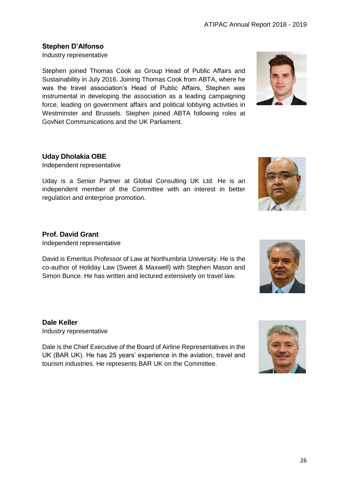## **Stephen D'Alfonso**

Industry representative

Stephen joined Thomas Cook as Group Head of Public Affairs and Sustainability in July 2016. Joining Thomas Cook from ABTA, where he was the travel association's Head of Public Affairs, Stephen was instrumental in developing the association as a leading campaigning force, leading on government affairs and political lobbying activities in Westminster and Brussels. Stephen joined ABTA following roles at GovNet Communications and the UK Parliament.



#### **Uday Dholakia OBE**

Independent representative

Uday is a Senior Partner at Global Consulting UK Ltd. He is an independent member of the Committee with an interest in better regulation and enterprise promotion.

## **Prof. David Grant**

Independent representative

David is Emeritus Professor of Law at Northumbria University. He is the co-author of Holiday Law (Sweet & Maxwell) with Stephen Mason and Simon Bunce. He has written and lectured extensively on travel law.

#### **Dale Keller**

Industry representative

Dale is the Chief Executive of the Board of Airline Representatives in the UK (BAR UK). He has 25 years' experience in the aviation, travel and tourism industries. He represents BAR UK on the Committee.



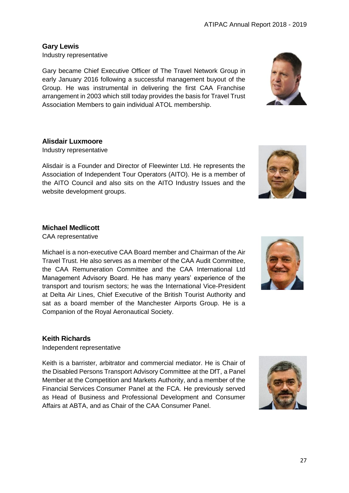## **Gary Lewis**

Industry representative

Gary became Chief Executive Officer of The Travel Network Group in early January 2016 following a successful management buyout of the Group. He was instrumental in delivering the first CAA Franchise arrangement in 2003 which still today provides the basis for Travel Trust Association Members to gain individual ATOL membership.

## **Alisdair Luxmoore**

Industry representative

Alisdair is a Founder and Director of Fleewinter Ltd. He represents the Association of Independent Tour Operators (AITO). He is a member of the AITO Council and also sits on the AITO Industry Issues and the website development groups.

## **Michael Medlicott**

CAA representative

Michael is a non-executive CAA Board member and Chairman of the Air Travel Trust. He also serves as a member of the CAA Audit Committee, the CAA Remuneration Committee and the CAA International Ltd Management Advisory Board. He has many years' experience of the transport and tourism sectors; he was the International Vice-President at Delta Air Lines, Chief Executive of the British Tourist Authority and sat as a board member of the Manchester Airports Group. He is a Companion of the Royal Aeronautical Society.

## **Keith Richards**

Independent representative

Keith is a barrister, arbitrator and commercial mediator. He is Chair of the Disabled Persons Transport Advisory Committee at the DfT, a Panel Member at the Competition and Markets Authority, and a member of the Financial Services Consumer Panel at the FCA. He previously served as Head of Business and Professional Development and Consumer Affairs at ABTA, and as Chair of the CAA Consumer Panel.





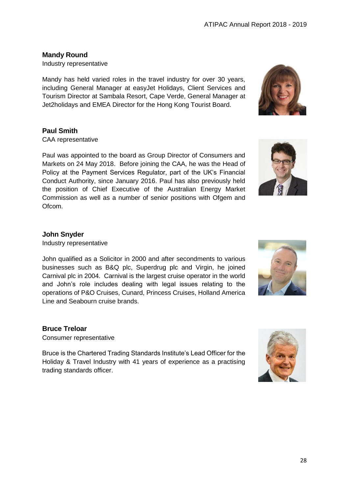28

## **Mandy Round**

Industry representative

Mandy has held varied roles in the travel industry for over 30 years, including General Manager at easyJet Holidays, Client Services and Tourism Director at Sambala Resort, Cape Verde, General Manager at Jet2holidays and EMEA Director for the Hong Kong Tourist Board.

## **Paul Smith**

CAA representative

Paul was appointed to the board as Group Director of Consumers and Markets on 24 May 2018. Before joining the CAA, he was the Head of Policy at the Payment Services Regulator, part of the UK's Financial Conduct Authority, since January 2016. Paul has also previously held the position of Chief Executive of the Australian Energy Market Commission as well as a number of senior positions with Ofgem and Ofcom.

## **John Snyder**

Industry representative

John qualified as a Solicitor in 2000 and after secondments to various businesses such as B&Q plc, Superdrug plc and Virgin, he joined Carnival plc in 2004. Carnival is the largest cruise operator in the world and John's role includes dealing with legal issues relating to the operations of P&O Cruises, Cunard, Princess Cruises, Holland America Line and Seabourn cruise brands.

## **Bruce Treloar**

Consumer representative

Bruce is the Chartered Trading Standards Institute's Lead Officer for the Holiday & Travel Industry with 41 years of experience as a practising trading standards officer.